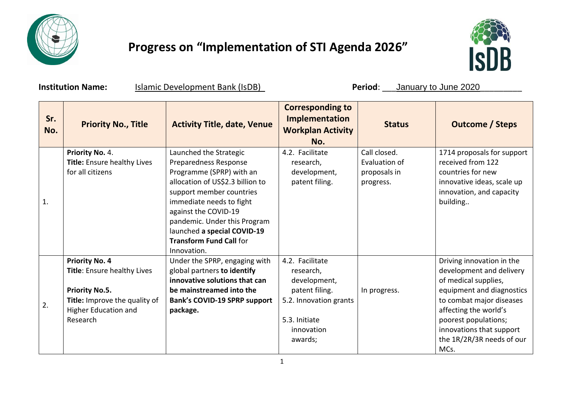

## **Progress on "Implementation of STI Agenda 2026"**



**Institution Name:** Islamic Development Bank (IsDB) **Period**: \_\_\_January to June 2020

| Sr.<br>No. | <b>Priority No., Title</b>                                                                                                                         | <b>Activity Title, date, Venue</b>                                                                                                                                                                                                                                                                              | <b>Corresponding to</b><br>Implementation<br><b>Workplan Activity</b><br>No.                                                       | <b>Status</b>                                              | <b>Outcome / Steps</b>                                                                                                                                                                                                                                   |
|------------|----------------------------------------------------------------------------------------------------------------------------------------------------|-----------------------------------------------------------------------------------------------------------------------------------------------------------------------------------------------------------------------------------------------------------------------------------------------------------------|------------------------------------------------------------------------------------------------------------------------------------|------------------------------------------------------------|----------------------------------------------------------------------------------------------------------------------------------------------------------------------------------------------------------------------------------------------------------|
| 1.         | Priority No. 4.<br>Title: Ensure healthy Lives<br>for all citizens                                                                                 | Launched the Strategic<br>Preparedness Response<br>Programme (SPRP) with an<br>allocation of US\$2.3 billion to<br>support member countries<br>immediate needs to fight<br>against the COVID-19<br>pandemic. Under this Program<br>launched a special COVID-19<br><b>Transform Fund Call for</b><br>Innovation. | 4.2. Facilitate<br>research,<br>development,<br>patent filing.                                                                     | Call closed.<br>Evaluation of<br>proposals in<br>progress. | 1714 proposals for support<br>received from 122<br>countries for new<br>innovative ideas, scale up<br>innovation, and capacity<br>building                                                                                                               |
| 2.         | <b>Priority No. 4</b><br>Title: Ensure healthy Lives<br><b>Priority No.5.</b><br>Title: Improve the quality of<br>Higher Education and<br>Research | Under the SPRP, engaging with<br>global partners to identify<br>innovative solutions that can<br>be mainstreamed into the<br><b>Bank's COVID-19 SPRP support</b><br>package.                                                                                                                                    | 4.2. Facilitate<br>research,<br>development,<br>patent filing.<br>5.2. Innovation grants<br>5.3. Initiate<br>innovation<br>awards; | In progress.                                               | Driving innovation in the<br>development and delivery<br>of medical supplies,<br>equipment and diagnostics<br>to combat major diseases<br>affecting the world's<br>poorest populations;<br>innovations that support<br>the 1R/2R/3R needs of our<br>MCs. |